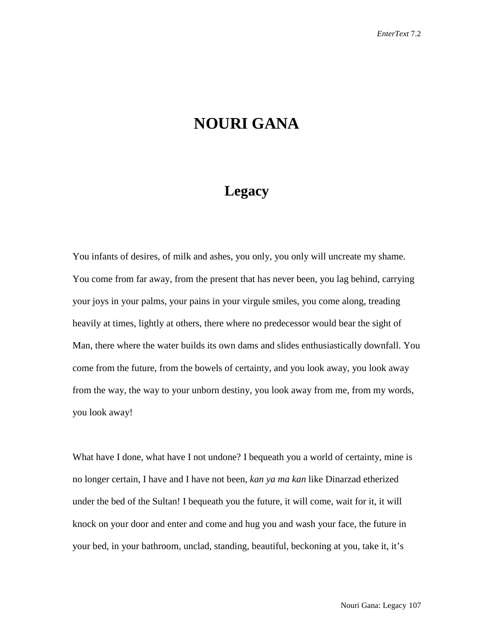## **NOURI GANA**

## **Legacy**

You infants of desires, of milk and ashes, you only, you only will uncreate my shame. You come from far away, from the present that has never been, you lag behind, carrying your joys in your palms, your pains in your virgule smiles, you come along, treading heavily at times, lightly at others, there where no predecessor would bear the sight of Man, there where the water builds its own dams and slides enthusiastically downfall. You come from the future, from the bowels of certainty, and you look away, you look away from the way, the way to your unborn destiny, you look away from me, from my words, you look away!

What have I done, what have I not undone? I bequeath you a world of certainty, mine is no longer certain, I have and I have not been, *kan ya ma kan* like Dinarzad etherized under the bed of the Sultan! I bequeath you the future, it will come, wait for it, it will knock on your door and enter and come and hug you and wash your face, the future in your bed, in your bathroom, unclad, standing, beautiful, beckoning at you, take it, it's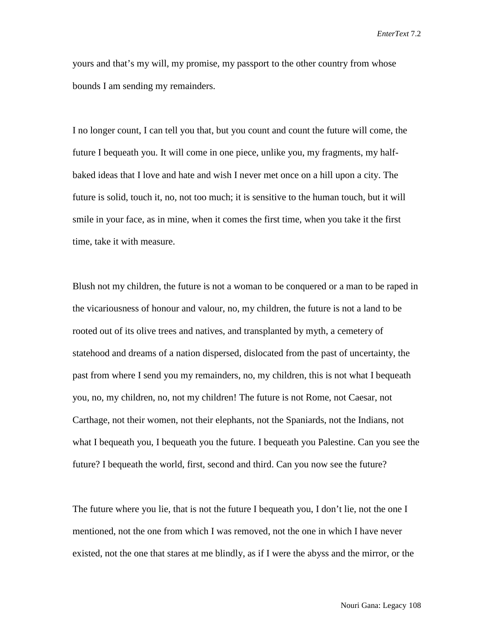*EnterText* 7.2

yours and that's my will, my promise, my passport to the other country from whose bounds I am sending my remainders.

I no longer count, I can tell you that, but you count and count the future will come, the future I bequeath you. It will come in one piece, unlike you, my fragments, my halfbaked ideas that I love and hate and wish I never met once on a hill upon a city. The future is solid, touch it, no, not too much; it is sensitive to the human touch, but it will smile in your face, as in mine, when it comes the first time, when you take it the first time, take it with measure.

Blush not my children, the future is not a woman to be conquered or a man to be raped in the vicariousness of honour and valour, no, my children, the future is not a land to be rooted out of its olive trees and natives, and transplanted by myth, a cemetery of statehood and dreams of a nation dispersed, dislocated from the past of uncertainty, the past from where I send you my remainders, no, my children, this is not what I bequeath you, no, my children, no, not my children! The future is not Rome, not Caesar, not Carthage, not their women, not their elephants, not the Spaniards, not the Indians, not what I bequeath you, I bequeath you the future. I bequeath you Palestine. Can you see the future? I bequeath the world, first, second and third. Can you now see the future?

The future where you lie, that is not the future I bequeath you, I don't lie, not the one I mentioned, not the one from which I was removed, not the one in which I have never existed, not the one that stares at me blindly, as if I were the abyss and the mirror, or the